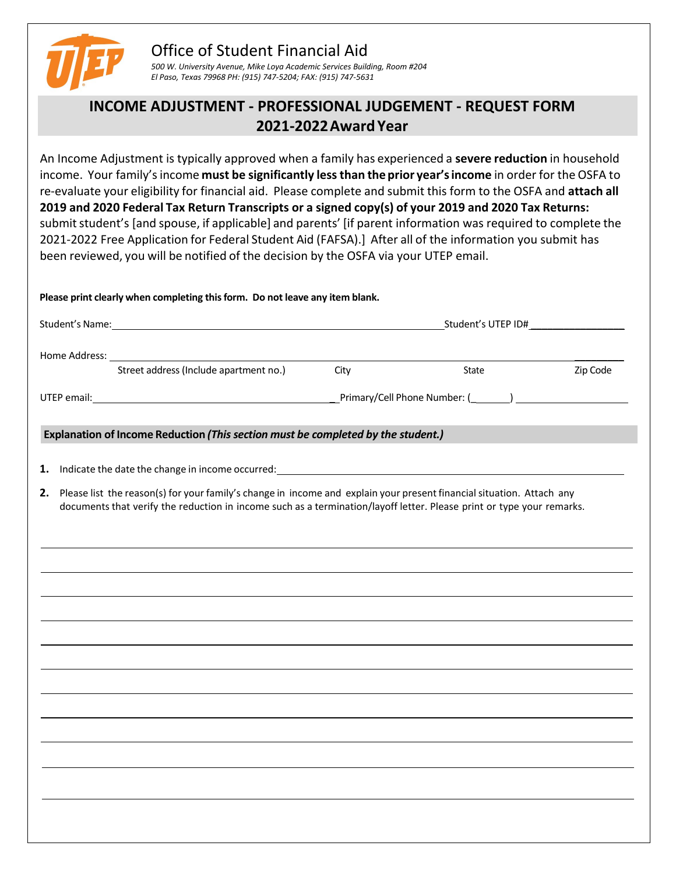

# Office of Student Financial Aid

*500 W. University Avenue, Mike Loya Academic Services Building, Room #204 El Paso, Texas 79968 PH: (915) 747-5204; FAX: (915) 747-5631*

## **INCOME ADJUSTMENT - PROFESSIONAL JUDGEMENT - REQUEST FORM 2021-2022Award Year**

An Income Adjustment is typically approved when a family has experienced a **severe reduction** in household income. Your family'sincome **must be significantly less than the prior year's income** in order for the OSFA to re-evaluate your eligibility for financial aid. Please complete and submit this form to the OSFA and **attach all 2019 and 2020 Federal Tax Return Transcripts or a signed copy(s) of your 2019 and 2020 Tax Returns:** submit student's [and spouse, if applicable] and parents' [if parent information was required to complete the 2021-2022 Free Application for Federal Student Aid (FAFSA).] After all of the information you submit has been reviewed, you will be notified of the decision by the OSFA via your UTEP email.

### **Please print clearly when completing thisform. Do not leave any item blank.**

| Student's Name: 1988 Contract Contract Contract Contract Contract Contract Contract Contract Contract Contract Contract Contract Contract Contract Contract Contract Contract Contract Contract Contract Contract Contract Con |                                                                                                                                                                                                                                                   | Student's UTEP ID# |       |          |  |
|--------------------------------------------------------------------------------------------------------------------------------------------------------------------------------------------------------------------------------|---------------------------------------------------------------------------------------------------------------------------------------------------------------------------------------------------------------------------------------------------|--------------------|-------|----------|--|
|                                                                                                                                                                                                                                |                                                                                                                                                                                                                                                   |                    |       |          |  |
|                                                                                                                                                                                                                                | Street address (Include apartment no.)                                                                                                                                                                                                            | City               | State | Zip Code |  |
|                                                                                                                                                                                                                                |                                                                                                                                                                                                                                                   |                    |       |          |  |
|                                                                                                                                                                                                                                | Explanation of Income Reduction (This section must be completed by the student.)                                                                                                                                                                  |                    |       |          |  |
| 1.                                                                                                                                                                                                                             |                                                                                                                                                                                                                                                   |                    |       |          |  |
|                                                                                                                                                                                                                                | 2. Please list the reason(s) for your family's change in income and explain your present financial situation. Attach any<br>documents that verify the reduction in income such as a termination/layoff letter. Please print or type your remarks. |                    |       |          |  |
|                                                                                                                                                                                                                                |                                                                                                                                                                                                                                                   |                    |       |          |  |
|                                                                                                                                                                                                                                |                                                                                                                                                                                                                                                   |                    |       |          |  |
|                                                                                                                                                                                                                                |                                                                                                                                                                                                                                                   |                    |       |          |  |
|                                                                                                                                                                                                                                | ,我们也不会有什么。""我们的人,我们也不会有什么?""我们的人,我们也不会有什么?""我们的人,我们也不会有什么?""我们的人,我们也不会有什么?""我们的人                                                                                                                                                                  |                    |       |          |  |
|                                                                                                                                                                                                                                |                                                                                                                                                                                                                                                   |                    |       |          |  |
|                                                                                                                                                                                                                                |                                                                                                                                                                                                                                                   |                    |       |          |  |
|                                                                                                                                                                                                                                |                                                                                                                                                                                                                                                   |                    |       |          |  |
|                                                                                                                                                                                                                                |                                                                                                                                                                                                                                                   |                    |       |          |  |
|                                                                                                                                                                                                                                |                                                                                                                                                                                                                                                   |                    |       |          |  |
|                                                                                                                                                                                                                                |                                                                                                                                                                                                                                                   |                    |       |          |  |
|                                                                                                                                                                                                                                |                                                                                                                                                                                                                                                   |                    |       |          |  |